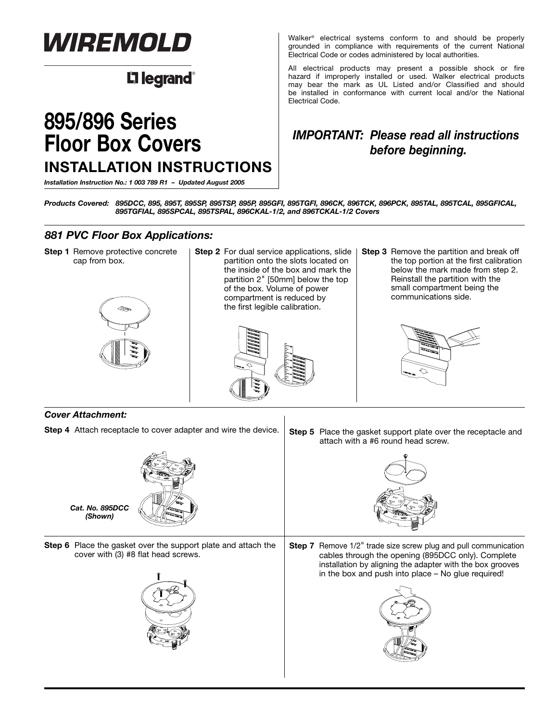

## **L'1 legrand**

# **895/896 Series Floor Box Covers INSTALLATION INSTRUCTIONS**

*Installation Instruction No.: 1 003 789 R1 – Updated August 2005*

Walker® electrical systems conform to and should be properly grounded in compliance with requirements of the current National Electrical Code or codes administered by local authorities.

All electrical products may present a possible shock or fire hazard if improperly installed or used. Walker electrical products may bear the mark as UL Listed and/or Classified and should be installed in conformance with current local and/or the National Electrical Code.

## *IMPORTANT: Please read all instructions before beginning.*

*Products Covered: 895DCC, 895, 895T, 895SP, 895TSP, 895P, 895GFI, 895TGFI, 896CK, 896TCK, 896PCK, 895TAL, 895TCAL, 895GFICAL, 895TGFIAL, 895SPCAL, 895TSPAL, 896CKAL-1/2, and 896TCKAL-1/2 Covers*

### *881 PVC Floor Box Applications:*

**Step 1** Remove protective concrete cap from box.



**Step 2** For dual service applications, slide partition onto the slots located on the inside of the box and mark the partition 2" [50mm] below the top of the box. Volume of power compartment is reduced by the first legible calibration.



**Step 3** Remove the partition and break off the top portion at the first calibration below the mark made from step 2. Reinstall the partition with the small compartment being the communications side.



#### *Cover Attachment:*

*(Shown)*

**Step 4** Attach receptacle to cover adapter and wire the device.



**Step 5** Place the gasket support plate over the receptacle and attach with a #6 round head screw.



**Step 6** Place the gasket over the support plate and attach the cover with (3) #8 flat head screws.



**Step 7** Remove 1/2" trade size screw plug and pull communication cables through the opening (895DCC only). Complete installation by aligning the adapter with the box grooves in the box and push into place – No glue required!